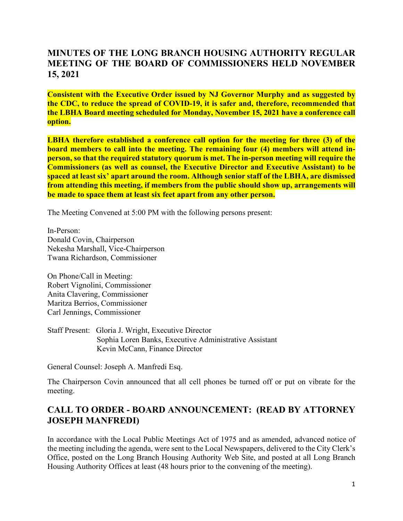## **MINUTES OF THE LONG BRANCH HOUSING AUTHORITY REGULAR MEETING OF THE BOARD OF COMMISSIONERS HELD NOVEMBER 15, 2021**

**Consistent with the Executive Order issued by NJ Governor Murphy and as suggested by the CDC, to reduce the spread of COVID-19, it is safer and, therefore, recommended that the LBHA Board meeting scheduled for Monday, November 15, 2021 have a conference call option.** 

**LBHA therefore established a conference call option for the meeting for three (3) of the board members to call into the meeting. The remaining four (4) members will attend inperson, so that the required statutory quorum is met. The in-person meeting will require the Commissioners (as well as counsel, the Executive Director and Executive Assistant) to be spaced at least six' apart around the room. Although senior staff of the LBHA, are dismissed from attending this meeting, if members from the public should show up, arrangements will be made to space them at least six feet apart from any other person.** 

The Meeting Convened at 5:00 PM with the following persons present:

In-Person: Donald Covin, Chairperson Nekesha Marshall, Vice-Chairperson Twana Richardson, Commissioner

On Phone/Call in Meeting: Robert Vignolini, Commissioner Anita Clavering, Commissioner Maritza Berrios, Commissioner Carl Jennings, Commissioner

Staff Present: Gloria J. Wright, Executive Director Sophia Loren Banks, Executive Administrative Assistant Kevin McCann, Finance Director

General Counsel: Joseph A. Manfredi Esq.

The Chairperson Covin announced that all cell phones be turned off or put on vibrate for the meeting.

## **CALL TO ORDER - BOARD ANNOUNCEMENT: (READ BY ATTORNEY JOSEPH MANFREDI)**

In accordance with the Local Public Meetings Act of 1975 and as amended, advanced notice of the meeting including the agenda, were sent to the Local Newspapers, delivered to the City Clerk's Office, posted on the Long Branch Housing Authority Web Site, and posted at all Long Branch Housing Authority Offices at least (48 hours prior to the convening of the meeting).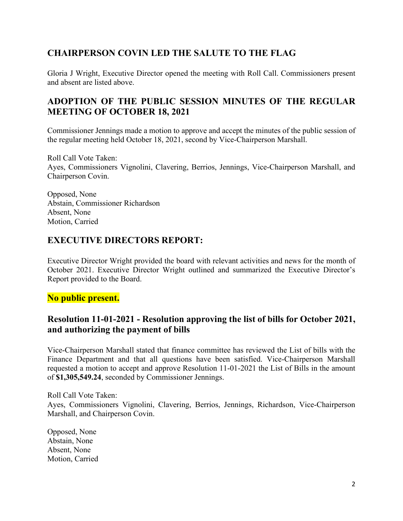## **CHAIRPERSON COVIN LED THE SALUTE TO THE FLAG**

Gloria J Wright, Executive Director opened the meeting with Roll Call. Commissioners present and absent are listed above.

## **ADOPTION OF THE PUBLIC SESSION MINUTES OF THE REGULAR MEETING OF OCTOBER 18, 2021**

Commissioner Jennings made a motion to approve and accept the minutes of the public session of the regular meeting held October 18, 2021, second by Vice-Chairperson Marshall.

Roll Call Vote Taken: Ayes, Commissioners Vignolini, Clavering, Berrios, Jennings, Vice-Chairperson Marshall, and Chairperson Covin.

Opposed, None Abstain, Commissioner Richardson Absent, None Motion, Carried

## **EXECUTIVE DIRECTORS REPORT:**

Executive Director Wright provided the board with relevant activities and news for the month of October 2021. Executive Director Wright outlined and summarized the Executive Director's Report provided to the Board.

#### **No public present.**

#### **Resolution 11-01-2021 - Resolution approving the list of bills for October 2021, and authorizing the payment of bills**

Vice-Chairperson Marshall stated that finance committee has reviewed the List of bills with the Finance Department and that all questions have been satisfied. Vice-Chairperson Marshall requested a motion to accept and approve Resolution 11-01-2021 the List of Bills in the amount of **\$1,305,549.24**, seconded by Commissioner Jennings.

Roll Call Vote Taken: Ayes, Commissioners Vignolini, Clavering, Berrios, Jennings, Richardson, Vice-Chairperson Marshall, and Chairperson Covin.

Opposed, None Abstain, None Absent, None Motion, Carried